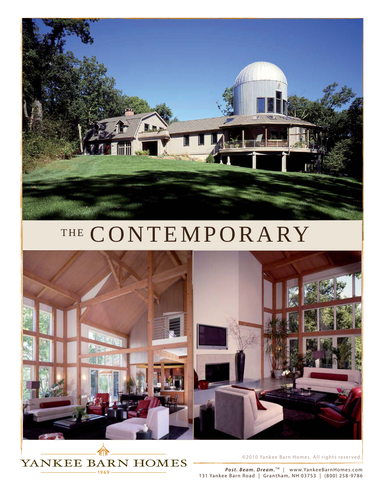

## THE CONTEMPORARY





*©*2010 Yankee Barn Homes. All rights reser ved.

*Post. Beam. Dream.*<sup>™</sup> | www.YankeeBarnHomes.com 131 Yankee Barn Road | Grantham, NH 03753 | (800) 258-9786